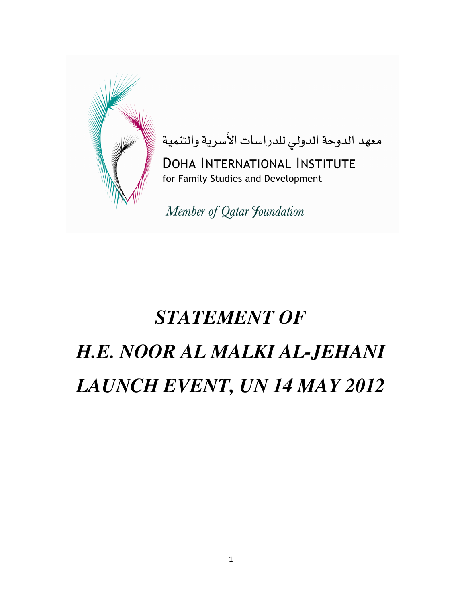

معهد الدوحة الدولي للدراسات الأسرية والتنمية DOHA INTERNATIONAL INSTITUTE for Family Studies and Development

Member of Qatar Foundation

## *STATEMENT OF H.E. NOOR AL MALKI AL-JEHANI LAUNCH EVENT, UN 14 MAY 2012*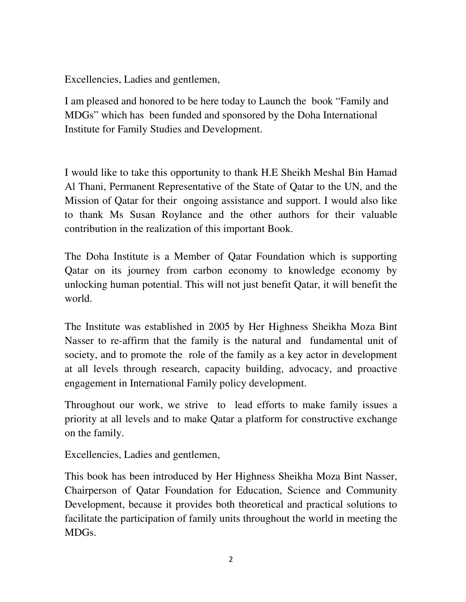I am pleased and honored to be here today to Launch the book "Family and MDGs" which has been funded and sponsored by the Doha International Institute for Family Studies and Development.

I would like to take this opportunity to thank H.E Sheikh Meshal Bin Hamad Al Thani, Permanent Representative of the State of Qatar to the UN, and the Mission of Qatar for their ongoing assistance and support. I would also like to thank Ms Susan Roylance and the other authors for their valuable contribution in the realization of this important Book.

The Doha Institute is a Member of Qatar Foundation which is supporting Qatar on its journey from carbon economy to knowledge economy by unlocking human potential. This will not just benefit Qatar, it will benefit the world.

The Institute was established in 2005 by Her Highness Sheikha Moza Bint Nasser to re-affirm that the family is the natural and fundamental unit of society, and to promote the role of the family as a key actor in development at all levels through research, capacity building, advocacy, and proactive engagement in International Family policy development.

Throughout our work, we strive to lead efforts to make family issues a priority at all levels and to make Qatar a platform for constructive exchange on the family.

Excellencies, Ladies and gentlemen,

Excellencies, Ladies and gentlemen,<br>
I am pleased and honored to be here tot<br>
MDGs" which has been funded and sp<br>
Institute for Family Studies and Develo<br>
I would like to take this opportunity to<br>
Al Thani, Permanent Repre This book has been introduced by Her Highness Sheikha Moza Bint Nasser, Chairperson of Qatar Foundation for Education, Science and Community Development, because it provides both theoretical and practical solutions to facilitate the participation of family units throughout the world in meeting the MDGs.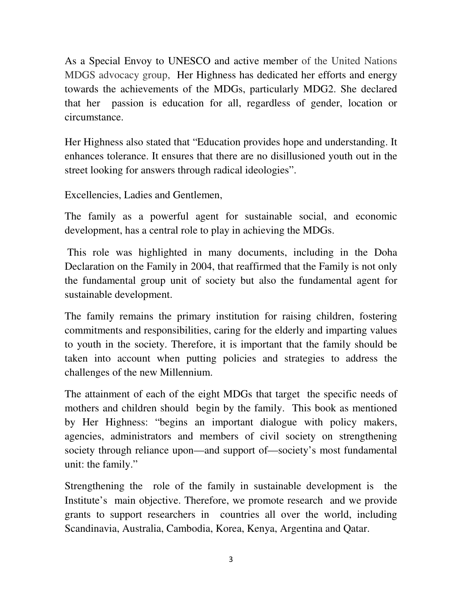As a Special Envoy to UNESCO and active member of the United Nations MDGS advocacy group, Her Highness has dedicated her efforts and energy towards the achievements of the MDGs, particularly MDG2. She declared that her passion is education for all, regardless of gender, location or circumstance.

Her Highness also stated that "Education provides hope and understanding. It enhances tolerance. It ensures that there are no disillusioned youth out in the street looking for answers through radical ideologies".

Excellencies, Ladies and Gentlemen,

The family as a powerful agent for sustainable social, and economic development, has a central role to play in achieving the MDGs.

This role was highlighted in many documents, including in the Doha Declaration on the Family in 2004, that reaffirmed that the Family is not only the fundamental group unit of society but also the fundamental agent for sustainable development.

The family remains the primary institution for raising children, fostering commitments and responsibilities, caring for the elderly and imparting values to youth in the society. Therefore, it is important that the family should be taken into account when putting policies and strategies to address the challenges of the new Millennium.

The attainment of each of the eight MDGs that target the specific needs of mothers and children should begin by the family. This book as mentioned by Her Highness: "begins an important dialogue with policy makers, agencies, administrators and members of civil society on strengthening society through reliance upon—and support of—society's most fundamental unit: the family."

Strengthening the role of the family in sustainable development is the Institute's main objective. Therefore, we promote research and we provide grants to support researchers in countries all over the world, including Scandinavia, Australia, Cambodia, Korea, Kenya, Argentina and Qatar.